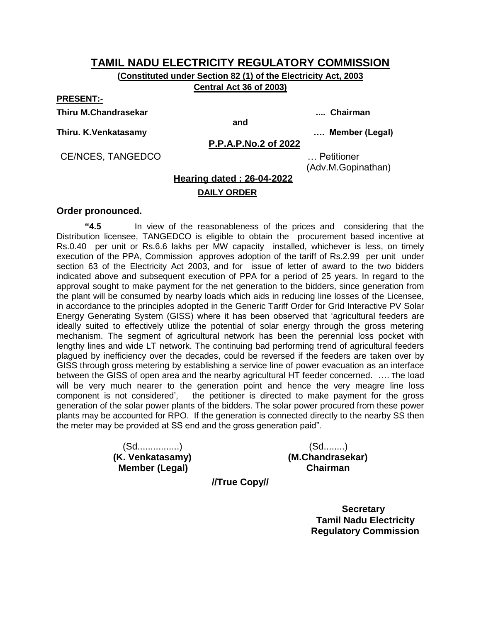**(Constituted under Section 82 (1) of the Electricity Act, 2003 Central Act 36 of 2003)**

**PRESENT:-**

**Thiru M.Chandrasekar .... Chairman**

**and**

**Thiru. K.Venkatasamy …. Member (Legal)**

**P.P.A.P.No.2 of 2022**

CE/NCES, TANGEDCO … Petitioner

(Adv.M.Gopinathan)

# **Hearing dated : 26-04-2022**

#### **DAILY ORDER**

#### **Order pronounced.**

**"4.5** In view of the reasonableness of the prices and considering that the Distribution licensee, TANGEDCO is eligible to obtain the procurement based incentive at Rs.0.40 per unit or Rs.6.6 lakhs per MW capacity installed, whichever is less, on timely execution of the PPA, Commission approves adoption of the tariff of Rs.2.99 per unit under section 63 of the Electricity Act 2003, and for issue of letter of award to the two bidders indicated above and subsequent execution of PPA for a period of 25 years. In regard to the approval sought to make payment for the net generation to the bidders, since generation from the plant will be consumed by nearby loads which aids in reducing line losses of the Licensee, in accordance to the principles adopted in the Generic Tariff Order for Grid Interactive PV Solar Energy Generating System (GISS) where it has been observed that "agricultural feeders are ideally suited to effectively utilize the potential of solar energy through the gross metering mechanism. The segment of agricultural network has been the perennial loss pocket with lengthy lines and wide LT network. The continuing bad performing trend of agricultural feeders plagued by inefficiency over the decades, could be reversed if the feeders are taken over by GISS through gross metering by establishing a service line of power evacuation as an interface between the GISS of open area and the nearby agricultural HT feeder concerned. …. The load will be very much nearer to the generation point and hence the very meagre line loss component is not considered', the petitioner is directed to make payment for the gross the petitioner is directed to make payment for the gross generation of the solar power plants of the bidders. The solar power procured from these power plants may be accounted for RPO. If the generation is connected directly to the nearby SS then the meter may be provided at SS end and the gross generation paid".

> (Sd................) (Sd........)  **Member (Legal) Chairman**

**(K. Venkatasamy) (M.Chandrasekar)**

**//True Copy//**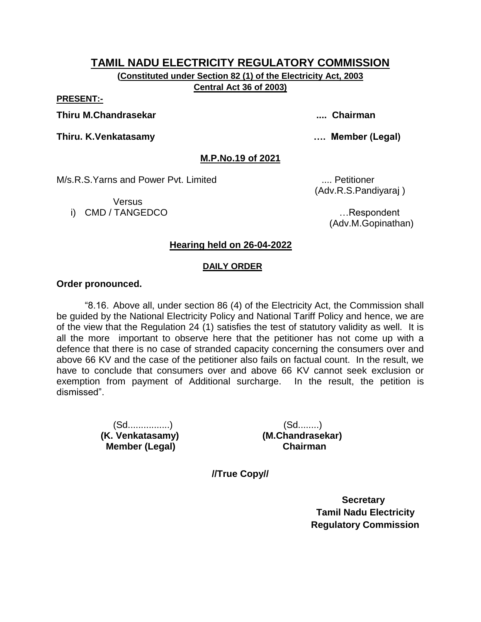**(Constituted under Section 82 (1) of the Electricity Act, 2003 Central Act 36 of 2003)**

**PRESENT:-**

**Thiru M.Chandrasekar .... Chairman**

**Thiru. K.Venkatasamy …. Member (Legal)**

**M.P.No.19 of 2021**

M/s.R.S.Yarns and Power Pvt. Limited .... Petitioner

**Versus** i) CMD / TANGEDCO **intervaluation and the contract of the contract of the contract of the contract of the contract of the contract of the contract of the contract of the contract of the contract of the contract of the cont** 

(Adv.R.S.Pandiyaraj )

(Adv.M.Gopinathan)

### **Hearing held on 26-04-2022**

#### **DAILY ORDER**

#### **Order pronounced.**

"8.16. Above all, under section 86 (4) of the Electricity Act, the Commission shall be guided by the National Electricity Policy and National Tariff Policy and hence, we are of the view that the Regulation 24 (1) satisfies the test of statutory validity as well. It is all the more important to observe here that the petitioner has not come up with a defence that there is no case of stranded capacity concerning the consumers over and above 66 KV and the case of the petitioner also fails on factual count. In the result, we have to conclude that consumers over and above 66 KV cannot seek exclusion or exemption from payment of Additional surcharge. In the result, the petition is dismissed".

> (Sd................) (Sd........)  **(K. Venkatasamy) (M.Chandrasekar) Member (Legal) Chairman**

**//True Copy//**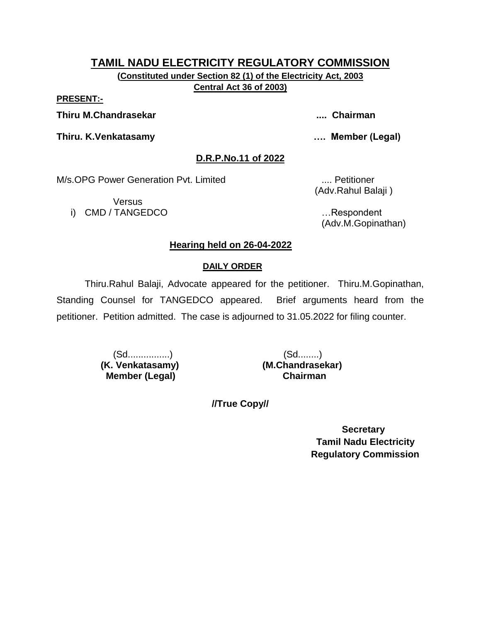**(Constituted under Section 82 (1) of the Electricity Act, 2003 Central Act 36 of 2003)**

**PRESENT:-**

**Thiru M.Chandrasekar .... Chairman**

**Thiru. K.Venkatasamy …. Member (Legal)**

**D.R.P.No.11 of 2022**

M/s.OPG Power Generation Pvt. Limited .... Petitioner

Versus i) CMD / TANGEDCO …Respondent

(Adv.Rahul Balaji )

(Adv.M.Gopinathan)

# **Hearing held on 26-04-2022**

# **DAILY ORDER**

Thiru.Rahul Balaji, Advocate appeared for the petitioner. Thiru.M.Gopinathan, Standing Counsel for TANGEDCO appeared. Brief arguments heard from the petitioner. Petition admitted. The case is adjourned to 31.05.2022 for filing counter.

> (Sd................) (Sd........)  **(K. Venkatasamy) (M.Chandrasekar) Member (Legal) Chairman**

**//True Copy//**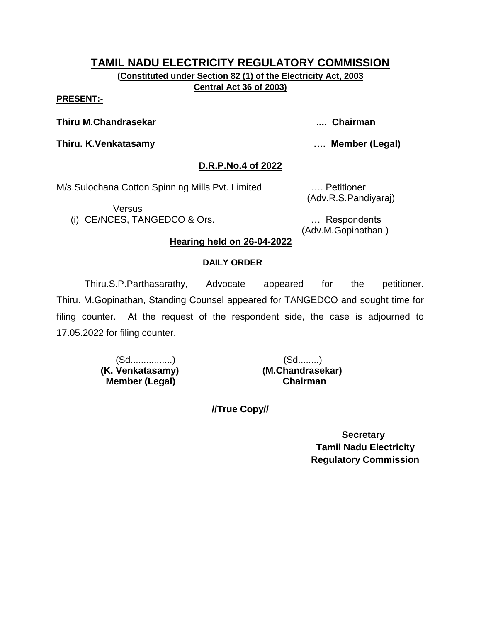**(Constituted under Section 82 (1) of the Electricity Act, 2003 Central Act 36 of 2003)**

#### **PRESENT:-**

**Thiru M.Chandrasekar .... Chairman**

**Thiru. K.Venkatasamy …. Member (Legal)**

### **D.R.P.No.4 of 2022**

M/s.Sulochana Cotton Spinning Mills Pvt. Limited …. Petitioner

Versus

(i) CE/NCES, TANGEDCO & Ors. … Respondents

(Adv.R.S.Pandiyaraj)

(Adv.M.Gopinathan )

### **Hearing held on 26-04-2022**

#### **DAILY ORDER**

Thiru.S.P.Parthasarathy, Advocate appeared for the petitioner. Thiru. M.Gopinathan, Standing Counsel appeared for TANGEDCO and sought time for filing counter. At the request of the respondent side, the case is adjourned to 17.05.2022 for filing counter.

> (Sd................) (Sd........)  **(K. Venkatasamy) (M.Chandrasekar) Member (Legal) Chairman**

**//True Copy//**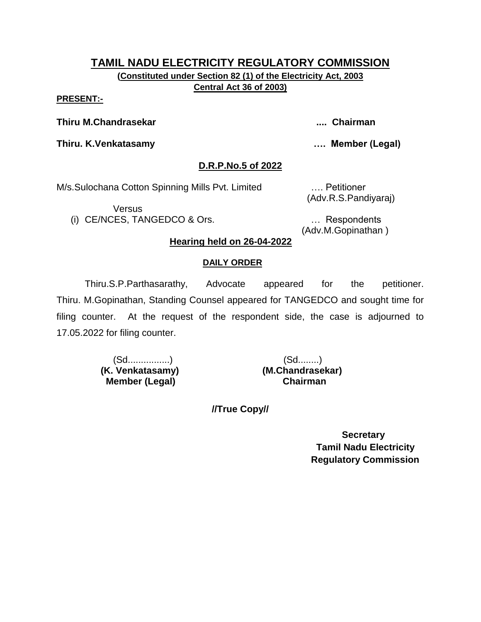**(Constituted under Section 82 (1) of the Electricity Act, 2003 Central Act 36 of 2003)**

#### **PRESENT:-**

**Thiru M.Chandrasekar .... Chairman**

**Thiru. K.Venkatasamy …. Member (Legal)**

### **D.R.P.No.5 of 2022**

M/s.Sulochana Cotton Spinning Mills Pvt. Limited …. Petitioner

Versus

(i) CE/NCES, TANGEDCO & Ors. … Respondents

(Adv.R.S.Pandiyaraj)

(Adv.M.Gopinathan )

# **Hearing held on 26-04-2022**

### **DAILY ORDER**

Thiru.S.P.Parthasarathy, Advocate appeared for the petitioner. Thiru. M.Gopinathan, Standing Counsel appeared for TANGEDCO and sought time for filing counter. At the request of the respondent side, the case is adjourned to 17.05.2022 for filing counter.

> (Sd................) (Sd........)  **(K. Venkatasamy) (M.Chandrasekar) Member (Legal) Chairman**

**//True Copy//**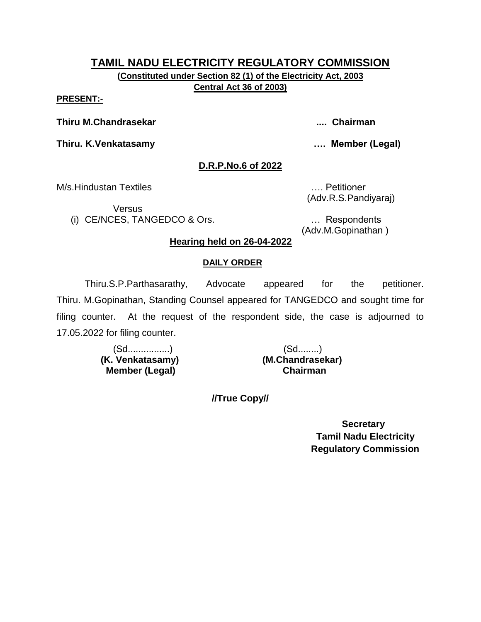**(Constituted under Section 82 (1) of the Electricity Act, 2003 Central Act 36 of 2003)**

#### **PRESENT:-**

**Thiru M.Chandrasekar .... Chairman**

**Thiru. K.Venkatasamy …. Member (Legal)**

### **D.R.P.No.6 of 2022**

M/s.Hindustan Textiles …. Petitioner

**Versus** 

(i) CE/NCES, TANGEDCO & Ors. … Respondents

(Adv.R.S.Pandiyaraj)

(Adv.M.Gopinathan )

### **Hearing held on 26-04-2022**

#### **DAILY ORDER**

Thiru.S.P.Parthasarathy, Advocate appeared for the petitioner. Thiru. M.Gopinathan, Standing Counsel appeared for TANGEDCO and sought time for filing counter. At the request of the respondent side, the case is adjourned to 17.05.2022 for filing counter.

> (Sd................) (Sd........)  **(K. Venkatasamy) (M.Chandrasekar) Member (Legal) Chairman**

**//True Copy//**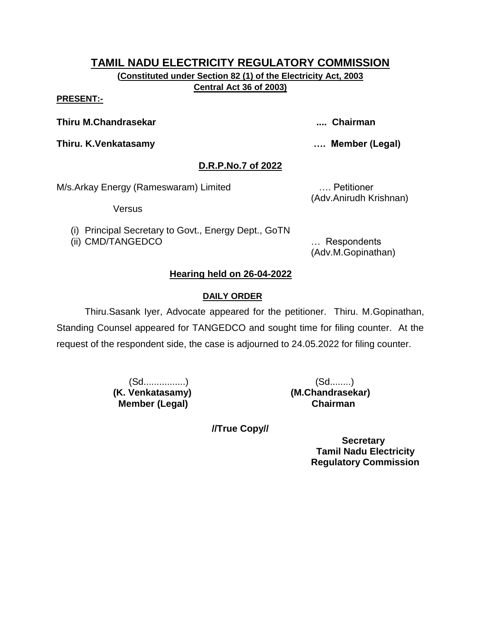**(Constituted under Section 82 (1) of the Electricity Act, 2003 Central Act 36 of 2003)**

#### **PRESENT:-**

**Thiru M.Chandrasekar .... Chairman**

**Thiru. K.Venkatasamy …. Member (Legal)**

# **D.R.P.No.7 of 2022**

M/s.Arkay Energy (Rameswaram) Limited …. Petitioner

Versus

(i) Principal Secretary to Govt., Energy Dept., GoTN

(ii) CMD/TANGEDCO … Respondents

(Adv.Anirudh Krishnan)

(Adv.M.Gopinathan)

# **Hearing held on 26-04-2022**

# **DAILY ORDER**

Thiru.Sasank Iyer, Advocate appeared for the petitioner. Thiru. M.Gopinathan, Standing Counsel appeared for TANGEDCO and sought time for filing counter. At the request of the respondent side, the case is adjourned to 24.05.2022 for filing counter.

 **Member (Legal) Chairman**

 (Sd................) (Sd........) **(K. Venkatasamy) (M.Chandrasekar)**

**//True Copy//**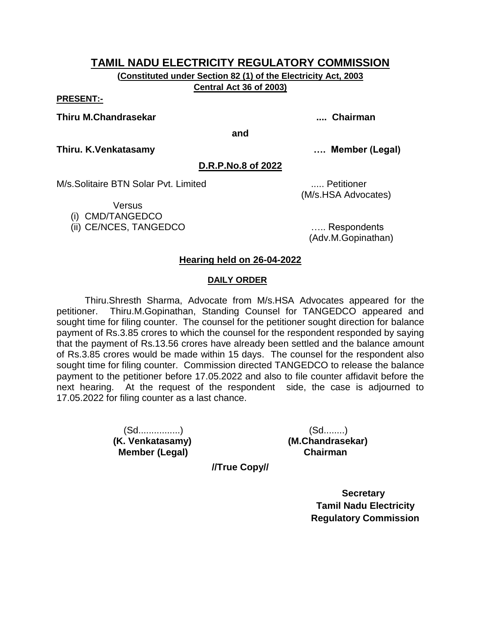**(Constituted under Section 82 (1) of the Electricity Act, 2003 Central Act 36 of 2003)**

#### **PRESENT:-**

#### **Thiru M.Chandrasekar .... Chairman**

**and**

**Thiru. K.Venkatasamy …. Member (Legal)**

#### **D.R.P.No.8 of 2022**

M/s.Solitaire BTN Solar Pyt. Limited **Example 2018** 1.... Petitioner

**Versus** 

(i) CMD/TANGEDCO

(ii) CE/NCES, TANGEDCO ….. Respondents

(M/s.HSA Advocates)

(Adv.M.Gopinathan)

### **Hearing held on 26-04-2022**

#### **DAILY ORDER**

Thiru.Shresth Sharma, Advocate from M/s.HSA Advocates appeared for the petitioner. Thiru.M.Gopinathan, Standing Counsel for TANGEDCO appeared and sought time for filing counter. The counsel for the petitioner sought direction for balance payment of Rs.3.85 crores to which the counsel for the respondent responded by saying that the payment of Rs.13.56 crores have already been settled and the balance amount of Rs.3.85 crores would be made within 15 days. The counsel for the respondent also sought time for filing counter. Commission directed TANGEDCO to release the balance payment to the petitioner before 17.05.2022 and also to file counter affidavit before the next hearing. At the request of the respondent side, the case is adjourned to 17.05.2022 for filing counter as a last chance.

> (Sd................) (Sd........)  **Member (Legal) Chairman**

**(K. Venkatasamy) (M.Chandrasekar)**

**//True Copy//**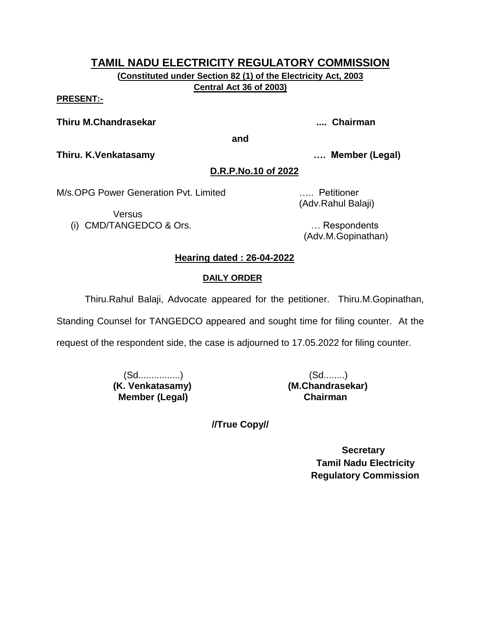**(Constituted under Section 82 (1) of the Electricity Act, 2003 Central Act 36 of 2003)**

**PRESENT:-**

**Thiru M.Chandrasekar .... Chairman**

**and**

**Thiru. K.Venkatasamy …. Member (Legal)**

# **D.R.P.No.10 of 2022**

M/s.OPG Power Generation Pvt. Limited ….. Petitioner

Versus (i) CMD/TANGEDCO & Ors. … Respondents

(Adv.Rahul Balaji)

(Adv.M.Gopinathan)

# **Hearing dated : 26-04-2022**

# **DAILY ORDER**

Thiru.Rahul Balaji, Advocate appeared for the petitioner. Thiru.M.Gopinathan,

Standing Counsel for TANGEDCO appeared and sought time for filing counter. At the

request of the respondent side, the case is adjourned to 17.05.2022 for filing counter.

 (Sd................) (Sd........) **(K. Venkatasamy) (M.Chandrasekar) Member (Legal) Chairman**

**//True Copy//**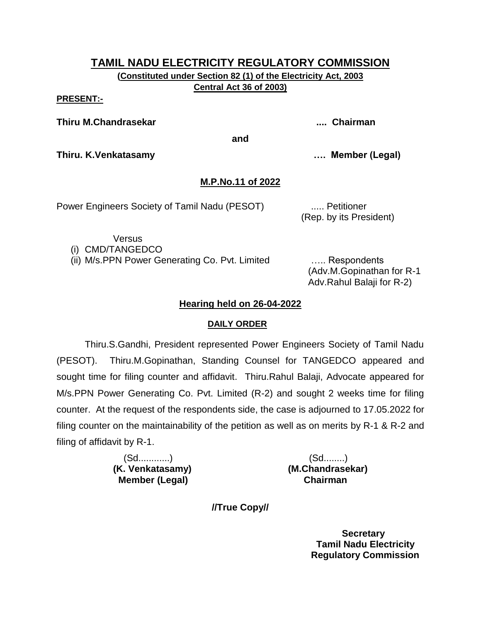**(Constituted under Section 82 (1) of the Electricity Act, 2003 Central Act 36 of 2003)**

**PRESENT:-**

**Thiru M.Chandrasekar .... Chairman**

**and**

**Thiru. K.Venkatasamy …. Member (Legal)**

# **M.P.No.11 of 2022**

Power Engineers Society of Tamil Nadu (PESOT) ..... Petitioner

(Rep. by its President)

Versus

(i) CMD/TANGEDCO

(ii) M/s.PPN Power Generating Co. Pvt. Limited ….. Respondents

(Adv.M.Gopinathan for R-1 Adv.Rahul Balaji for R-2)

# **Hearing held on 26-04-2022**

# **DAILY ORDER**

Thiru.S.Gandhi, President represented Power Engineers Society of Tamil Nadu (PESOT). Thiru.M.Gopinathan, Standing Counsel for TANGEDCO appeared and sought time for filing counter and affidavit. Thiru.Rahul Balaji, Advocate appeared for M/s.PPN Power Generating Co. Pvt. Limited (R-2) and sought 2 weeks time for filing counter. At the request of the respondents side, the case is adjourned to 17.05.2022 for filing counter on the maintainability of the petition as well as on merits by R-1 & R-2 and filing of affidavit by R-1.

> (Sd............) (Sd........) **(K. Venkatasamy) (M.Chandrasekar) Member (Legal) Chairman**

**//True Copy//**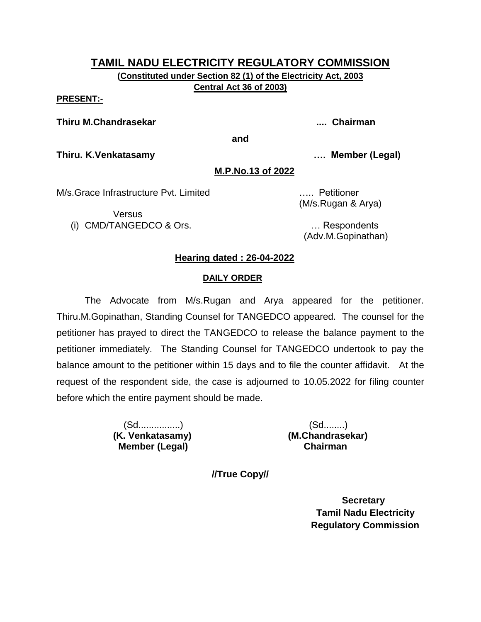**(Constituted under Section 82 (1) of the Electricity Act, 2003 Central Act 36 of 2003)**

#### **PRESENT:-**

#### **Thiru M.Chandrasekar .... Chairman**

**and**

**Thiru. K.Venkatasamy …. Member (Legal)**

#### **M.P.No.13 of 2022**

M/s.Grace Infrastructure Pvt. Limited ….. Petitioner

Versus (i) CMD/TANGEDCO & Ors. … Respondents

(M/s.Rugan & Arya)

(Adv.M.Gopinathan)

# **Hearing dated : 26-04-2022**

#### **DAILY ORDER**

The Advocate from M/s.Rugan and Arya appeared for the petitioner. Thiru.M.Gopinathan, Standing Counsel for TANGEDCO appeared. The counsel for the petitioner has prayed to direct the TANGEDCO to release the balance payment to the petitioner immediately. The Standing Counsel for TANGEDCO undertook to pay the balance amount to the petitioner within 15 days and to file the counter affidavit. At the request of the respondent side, the case is adjourned to 10.05.2022 for filing counter before which the entire payment should be made.

> (Sd................) (Sd........) **(K. Venkatasamy) (M.Chandrasekar) Member (Legal) Chairman**

**//True Copy//**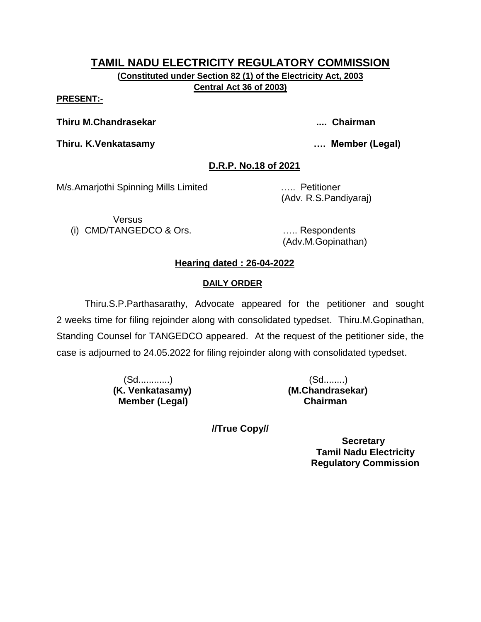# **TAMIL NADU ELECTRICITY REGULATORY COMMISSION (Constituted under Section 82 (1) of the Electricity Act, 2003**

**Central Act 36 of 2003)**

### **PRESENT:-**

**Thiru M.Chandrasekar .... Chairman**

**Thiru. K.Venkatasamy …. Member (Legal)**

# **D.R.P. No.18 of 2021**

M/s.Amarjothi Spinning Mills Limited ….. Petitioner

(Adv. R.S.Pandiyaraj)

**Versus** (i) CMD/TANGEDCO & Ors. ….. Respondents

(Adv.M.Gopinathan)

# **Hearing dated : 26-04-2022**

# **DAILY ORDER**

Thiru.S.P.Parthasarathy, Advocate appeared for the petitioner and sought 2 weeks time for filing rejoinder along with consolidated typedset. Thiru.M.Gopinathan, Standing Counsel for TANGEDCO appeared. At the request of the petitioner side, the case is adjourned to 24.05.2022 for filing rejoinder along with consolidated typedset.

> (Sd............) (Sd........)  **Member (Legal) Chairman**

**(K. Venkatasamy) (M.Chandrasekar)**

**//True Copy//**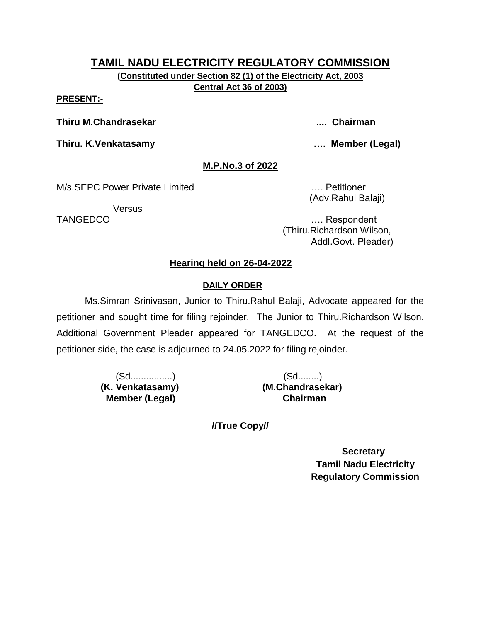**(Constituted under Section 82 (1) of the Electricity Act, 2003 Central Act 36 of 2003)**

#### **PRESENT:-**

**Thiru M.Chandrasekar .... Chairman**

**Thiru. K.Venkatasamy …. Member (Legal)**

# **M.P.No.3 of 2022**

M/s.SEPC Power Private Limited **Example 20** Petitioner

**Versus** 

(Adv.Rahul Balaji)

TANGEDCO …. Respondent (Thiru.Richardson Wilson, Addl.Govt. Pleader)

# **Hearing held on 26-04-2022**

# **DAILY ORDER**

Ms.Simran Srinivasan, Junior to Thiru.Rahul Balaji, Advocate appeared for the petitioner and sought time for filing rejoinder. The Junior to Thiru.Richardson Wilson, Additional Government Pleader appeared for TANGEDCO. At the request of the petitioner side, the case is adjourned to 24.05.2022 for filing rejoinder.

> (Sd................) (Sd........)  **(K. Venkatasamy) (M.Chandrasekar) Member (Legal) Chairman**

**//True Copy//**